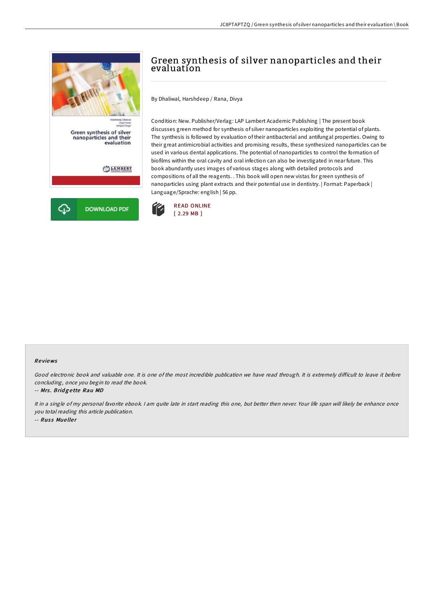

# Green synthesis of silver nanoparticles and their evaluation

By Dhaliwal, Harshdeep / Rana, Divya

Condition: New. Publisher/Verlag: LAP Lambert Academic Publishing | The present book discusses green method for synthesis of silver nanoparticles exploiting the potential of plants. The synthesis is followed by evaluation of their antibacterial and antifungal properties. Owing to their great antimicrobial activities and promising results, these synthesized nanoparticles can be used in various dental applications. The potential of nanoparticles to control the formation of biofilms within the oral cavity and oral infection can also be investigated in near future. This book abundantly uses images of various stages along with detailed protocols and compositions of all the reagents. . This book will open new vistas for green synthesis of nanoparticles using plant extracts and their potential use in dentistry. | Format: Paperback | Language/Sprache: english | 56 pp.



#### Re views

Good electronic book and valuable one. It is one of the most incredible publication we have read through. It is extremely difficult to leave it before concluding, once you begin to read the book.

-- Mrs. Bridgette Rau MD

It in <sup>a</sup> single of my personal favorite ebook. <sup>I</sup> am quite late in start reading this one, but better then never. Your life span will likely be enhance once you total reading this article publication. -- Russ Mueller